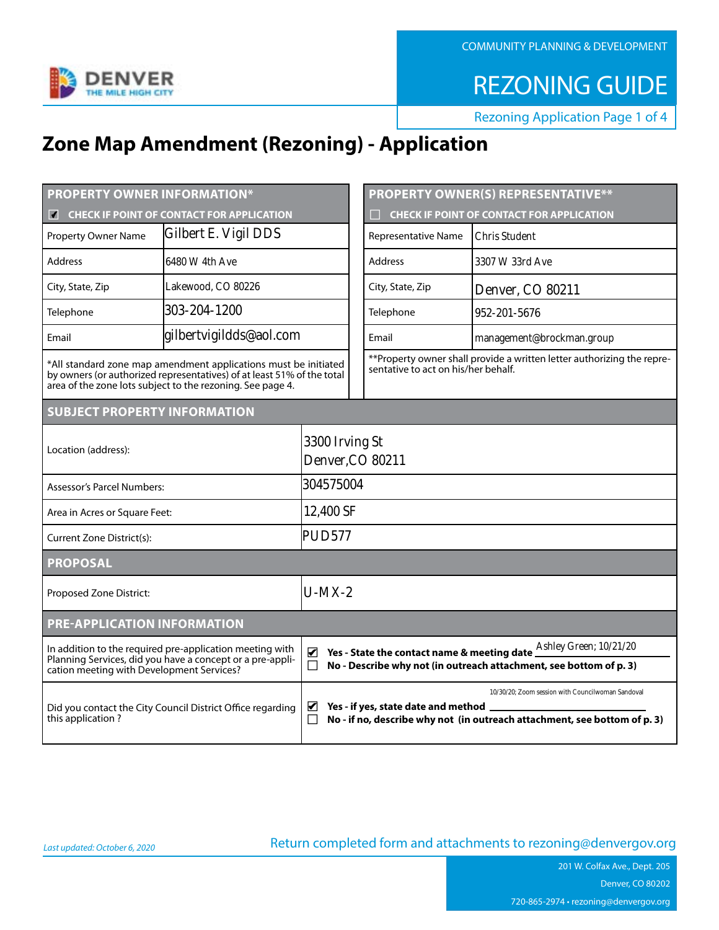Gilbert E. Vigil DDS 6480 W 4th Ave Lakewood, CO 80226 303-204-1200 gilbertvigildds@aol.com

 $\sqrt{ }$ 

**Chris Student** 3307 W 33rd Ave Denver, CO 80211 952-201-5676 management@brockman.group

3300 Irving St Denver, CO 80211 304575004 12,400 SF **PUD577** 

 $U-MX-2$ 

 $\checkmark$ 

 $\checkmark$ 

Ashley Green; 10/21/20

10/30/20; Zoom session with Councilwoman Sandoval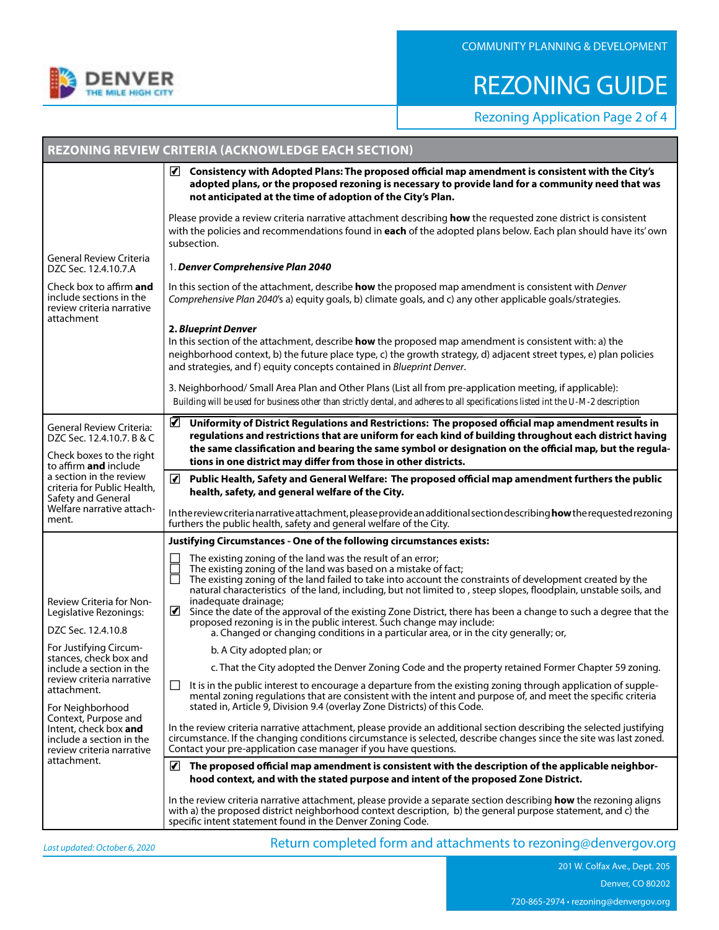Building will be used for business other than strictly dental, and adheres to all specifications listed int the U-M-2 description  $\checkmark$ 

 $\sqrt{ }$ 

 $\bigg)$ 

 $\sqrt{ }$ 

 $\blacktriangledown$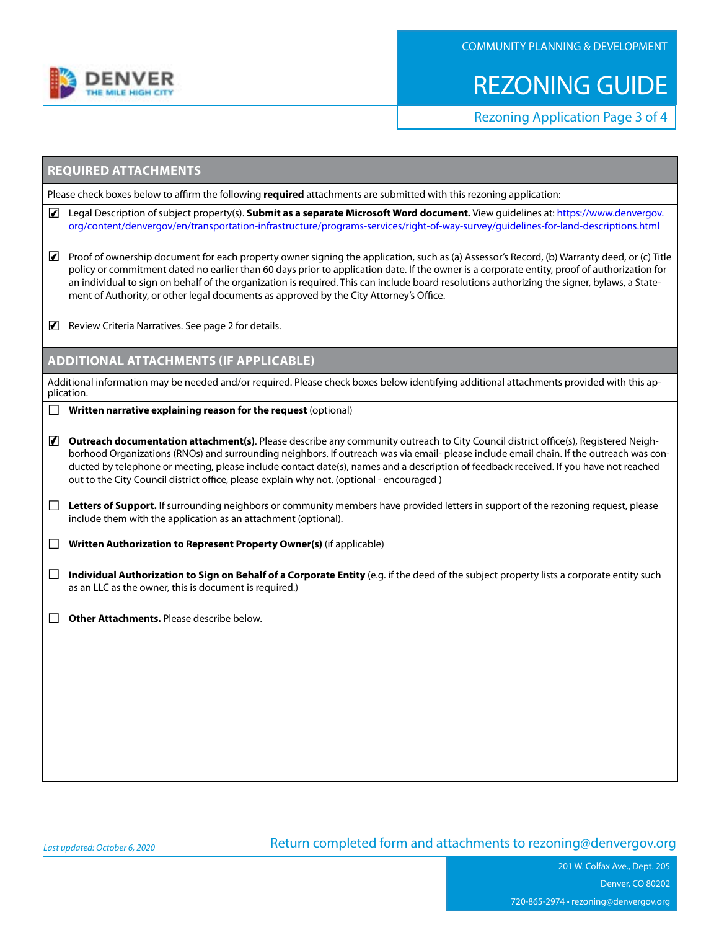$\bigg|$ 

 $\bigg($ 

 $\checkmark$ 

 $\sqrt{ }$